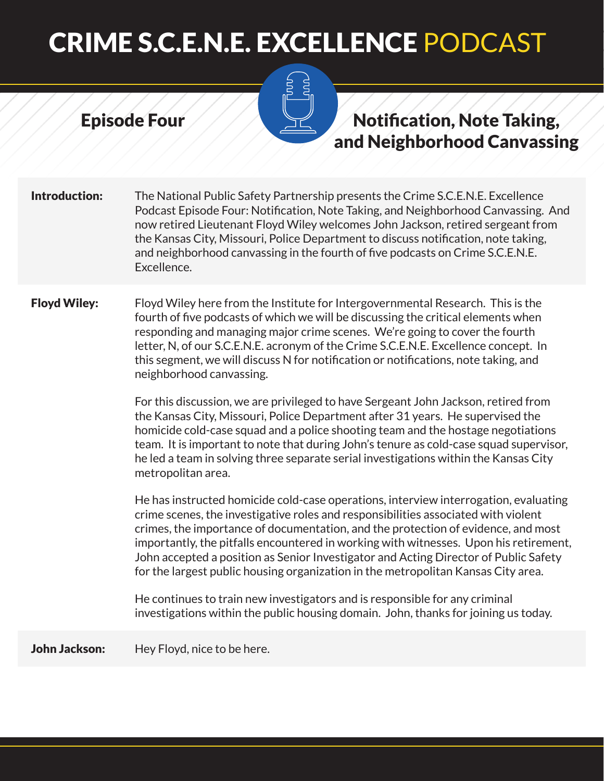#### Episode Four



## Notification, Note Taking, and Neighborhood Canvassing

**Introduction:** The National Public Safety Partnership presents the Crime S.C.E.N.E. Excellence Podcast Episode Four: Notification, Note Taking, and Neighborhood Canvassing. And now retired Lieutenant Floyd Wiley welcomes John Jackson, retired sergeant from the Kansas City, Missouri, Police Department to discuss notification, note taking, and neighborhood canvassing in the fourth of five podcasts on Crime S.C.E.N.E. Excellence.

Floyd Wiley: Floyd Wiley here from the Institute for Intergovernmental Research. This is the fourth of five podcasts of which we will be discussing the critical elements when responding and managing major crime scenes. We're going to cover the fourth letter, N, of our S.C.E.N.E. acronym of the Crime S.C.E.N.E. Excellence concept. In this segment, we will discuss N for notification or notifications, note taking, and neighborhood canvassing.

> For this discussion, we are privileged to have Sergeant John Jackson, retired from the Kansas City, Missouri, Police Department after 31 years. He supervised the homicide cold-case squad and a police shooting team and the hostage negotiations team. It is important to note that during John's tenure as cold-case squad supervisor, he led a team in solving three separate serial investigations within the Kansas City metropolitan area.

> He has instructed homicide cold-case operations, interview interrogation, evaluating crime scenes, the investigative roles and responsibilities associated with violent crimes, the importance of documentation, and the protection of evidence, and most importantly, the pitfalls encountered in working with witnesses. Upon his retirement, John accepted a position as Senior Investigator and Acting Director of Public Safety for the largest public housing organization in the metropolitan Kansas City area.

He continues to train new investigators and is responsible for any criminal investigations within the public housing domain. John, thanks for joining us today.

John Jackson: Hey Floyd, nice to be here.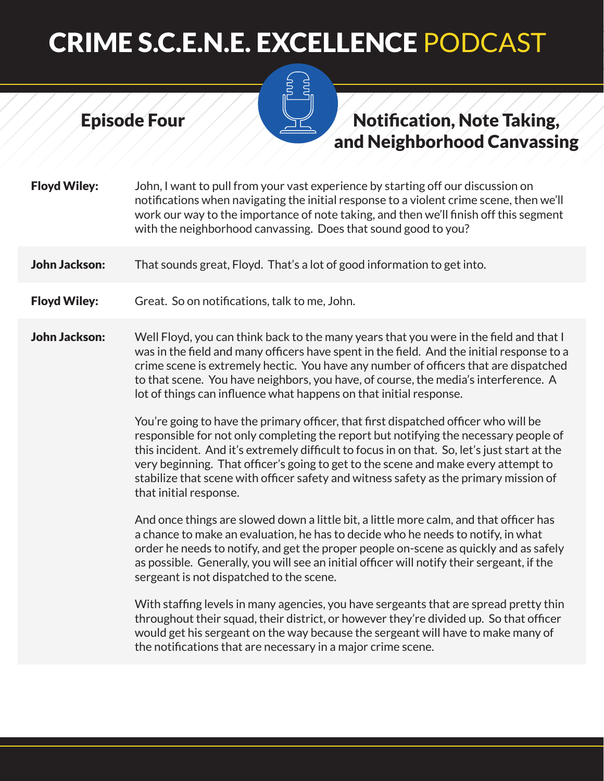## Notification, Note Taking, and Neighborhood Canvassing

Floyd Wiley: John, I want to pull from your vast experience by starting off our discussion on notifications when navigating the initial response to a violent crime scene, then we'll work our way to the importance of note taking, and then we'll finish off this segment with the neighborhood canvassing. Does that sound good to you?

**John Jackson:** That sounds great, Floyd. That's a lot of good information to get into.

Floyd Wiley: Great. So on notifications, talk to me, John.

Episode Four

John Jackson: Well Floyd, you can think back to the many years that you were in the field and that I was in the field and many officers have spent in the field. And the initial response to a crime scene is extremely hectic. You have any number of officers that are dispatched to that scene. You have neighbors, you have, of course, the media's interference. A lot of things can influence what happens on that initial response.

> You're going to have the primary officer, that first dispatched officer who will be responsible for not only completing the report but notifying the necessary people of this incident. And it's extremely difficult to focus in on that. So, let's just start at the very beginning. That officer's going to get to the scene and make every attempt to stabilize that scene with officer safety and witness safety as the primary mission of that initial response.

> And once things are slowed down a little bit, a little more calm, and that officer has a chance to make an evaluation, he has to decide who he needs to notify, in what order he needs to notify, and get the proper people on-scene as quickly and as safely as possible. Generally, you will see an initial officer will notify their sergeant, if the sergeant is not dispatched to the scene.

> With staffing levels in many agencies, you have sergeants that are spread pretty thin throughout their squad, their district, or however they're divided up. So that officer would get his sergeant on the way because the sergeant will have to make many of the notifications that are necessary in a major crime scene.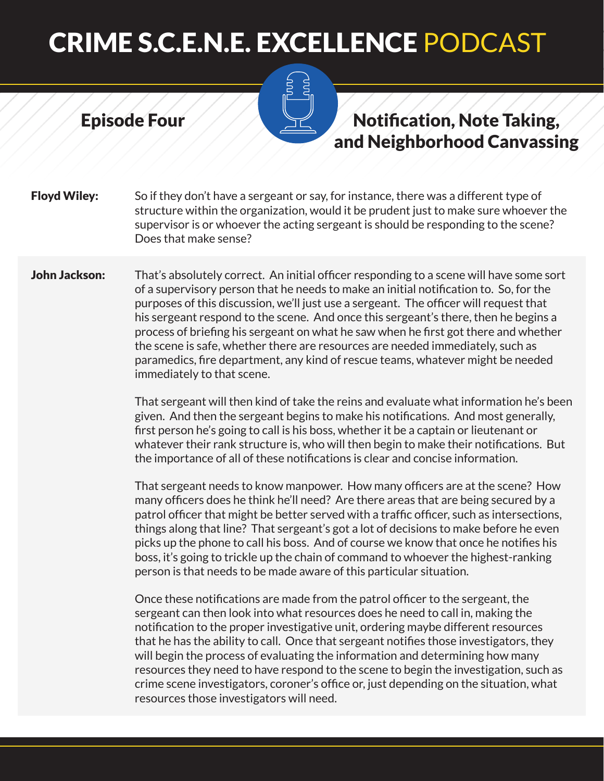Episode Four

### Notification, Note Taking, and Neighborhood Canvassing

**Floyd Wiley:** So if they don't have a sergeant or say, for instance, there was a different type of structure within the organization, would it be prudent just to make sure whoever the supervisor is or whoever the acting sergeant is should be responding to the scene? Does that make sense?

John Jackson: That's absolutely correct. An initial officer responding to a scene will have some sort of a supervisory person that he needs to make an initial notification to. So, for the purposes of this discussion, we'll just use a sergeant. The officer will request that his sergeant respond to the scene. And once this sergeant's there, then he begins a process of briefing his sergeant on what he saw when he first got there and whether the scene is safe, whether there are resources are needed immediately, such as paramedics, fire department, any kind of rescue teams, whatever might be needed immediately to that scene.

> That sergeant will then kind of take the reins and evaluate what information he's been given. And then the sergeant begins to make his notifications. And most generally, first person he's going to call is his boss, whether it be a captain or lieutenant or whatever their rank structure is, who will then begin to make their notifications. But the importance of all of these notifications is clear and concise information.

That sergeant needs to know manpower. How many officers are at the scene? How many officers does he think he'll need? Are there areas that are being secured by a patrol officer that might be better served with a traffic officer, such as intersections, things along that line? That sergeant's got a lot of decisions to make before he even picks up the phone to call his boss. And of course we know that once he notifies his boss, it's going to trickle up the chain of command to whoever the highest-ranking person is that needs to be made aware of this particular situation.

Once these notifications are made from the patrol officer to the sergeant, the sergeant can then look into what resources does he need to call in, making the notification to the proper investigative unit, ordering maybe different resources that he has the ability to call. Once that sergeant notifies those investigators, they will begin the process of evaluating the information and determining how many resources they need to have respond to the scene to begin the investigation, such as crime scene investigators, coroner's office or, just depending on the situation, what resources those investigators will need.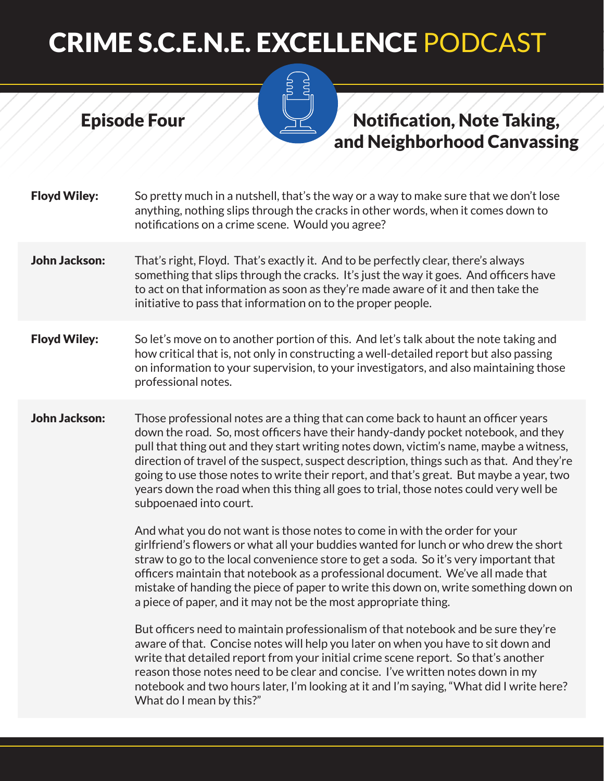

Episode Four

### Notification, Note Taking, and Neighborhood Canvassing

- Floyd Wiley: So pretty much in a nutshell, that's the way or a way to make sure that we don't lose anything, nothing slips through the cracks in other words, when it comes down to notifications on a crime scene. Would you agree?
- John Jackson: That's right, Floyd. That's exactly it. And to be perfectly clear, there's always something that slips through the cracks. It's just the way it goes. And officers have to act on that information as soon as they're made aware of it and then take the initiative to pass that information on to the proper people.
- **Floyd Wiley:** So let's move on to another portion of this. And let's talk about the note taking and how critical that is, not only in constructing a well-detailed report but also passing on information to your supervision, to your investigators, and also maintaining those professional notes.
- **John Jackson:** Those professional notes are a thing that can come back to haunt an officer vears down the road. So, most officers have their handy-dandy pocket notebook, and they pull that thing out and they start writing notes down, victim's name, maybe a witness, direction of travel of the suspect, suspect description, things such as that. And they're going to use those notes to write their report, and that's great. But maybe a year, two years down the road when this thing all goes to trial, those notes could very well be subpoenaed into court.

And what you do not want is those notes to come in with the order for your girlfriend's flowers or what all your buddies wanted for lunch or who drew the short straw to go to the local convenience store to get a soda. So it's very important that officers maintain that notebook as a professional document. We've all made that mistake of handing the piece of paper to write this down on, write something down on a piece of paper, and it may not be the most appropriate thing.

But officers need to maintain professionalism of that notebook and be sure they're aware of that. Concise notes will help you later on when you have to sit down and write that detailed report from your initial crime scene report. So that's another reason those notes need to be clear and concise. I've written notes down in my notebook and two hours later, I'm looking at it and I'm saying, "What did I write here? What do I mean by this?"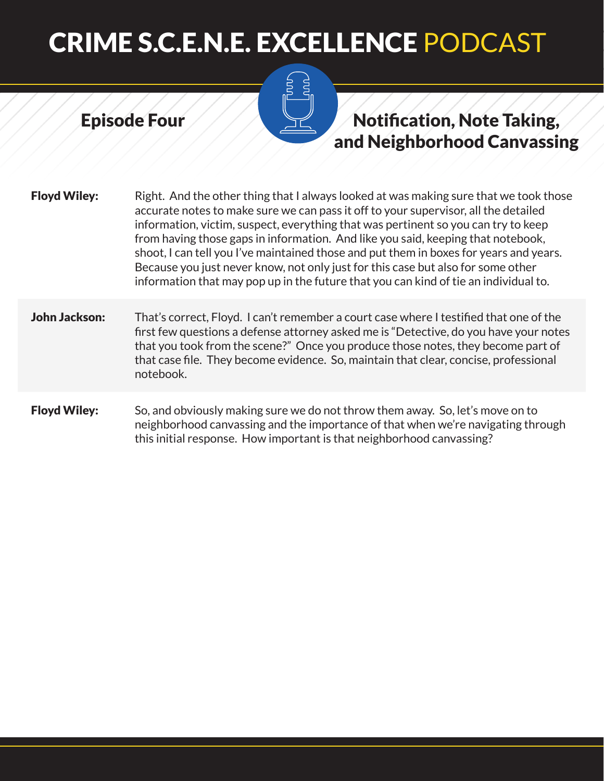# **RDU**

Episode Four

# Notification, Note Taking, and Neighborhood Canvassing

| <b>Floyd Wiley:</b>  | Right. And the other thing that I always looked at was making sure that we took those<br>accurate notes to make sure we can pass it off to your supervisor, all the detailed<br>information, victim, suspect, everything that was pertinent so you can try to keep<br>from having those gaps in information. And like you said, keeping that notebook,<br>shoot, I can tell you I've maintained those and put them in boxes for years and years.<br>Because you just never know, not only just for this case but also for some other<br>information that may pop up in the future that you can kind of tie an individual to. |
|----------------------|------------------------------------------------------------------------------------------------------------------------------------------------------------------------------------------------------------------------------------------------------------------------------------------------------------------------------------------------------------------------------------------------------------------------------------------------------------------------------------------------------------------------------------------------------------------------------------------------------------------------------|
| <b>John Jackson:</b> | That's correct, Floyd. I can't remember a court case where I testified that one of the<br>first few questions a defense attorney asked me is "Detective, do you have your notes<br>that you took from the scene?" Once you produce those notes, they become part of<br>that case file. They become evidence. So, maintain that clear, concise, professional<br>notebook.                                                                                                                                                                                                                                                     |
| <b>Floyd Wiley:</b>  | So, and obviously making sure we do not throw them away. So, let's move on to<br>neighborhood canvassing and the importance of that when we're navigating through<br>this initial response. How important is that neighborhood canvassing?                                                                                                                                                                                                                                                                                                                                                                                   |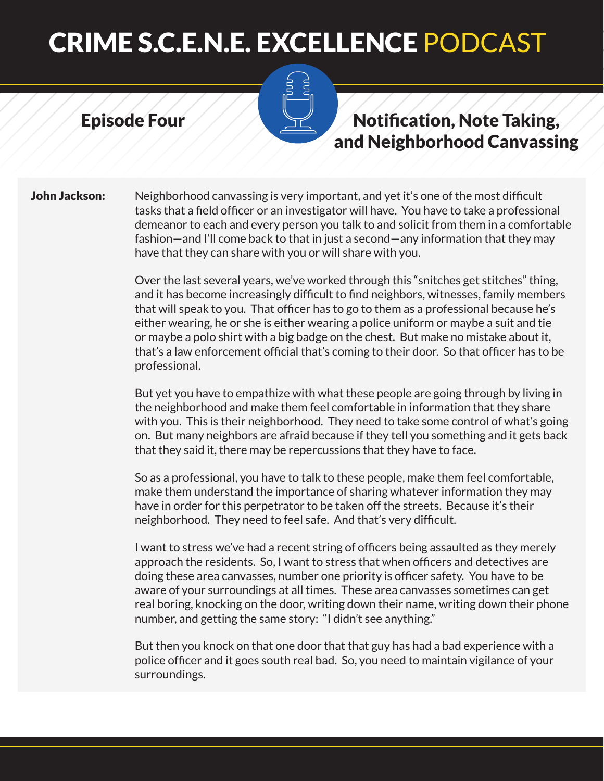#### Episode Four

### Notification, Note Taking, and Neighborhood Canvassing

**John Jackson:** Neighborhood canvassing is very important, and yet it's one of the most difficult tasks that a field officer or an investigator will have. You have to take a professional demeanor to each and every person you talk to and solicit from them in a comfortable fashion—and I'll come back to that in just a second—any information that they may have that they can share with you or will share with you.

> Over the last several years, we've worked through this "snitches get stitches" thing, and it has become increasingly difficult to find neighbors, witnesses, family members that will speak to you. That officer has to go to them as a professional because he's either wearing, he or she is either wearing a police uniform or maybe a suit and tie or maybe a polo shirt with a big badge on the chest. But make no mistake about it, that's a law enforcement official that's coming to their door. So that officer has to be professional.

> But yet you have to empathize with what these people are going through by living in the neighborhood and make them feel comfortable in information that they share with you. This is their neighborhood. They need to take some control of what's going on. But many neighbors are afraid because if they tell you something and it gets back that they said it, there may be repercussions that they have to face.

So as a professional, you have to talk to these people, make them feel comfortable, make them understand the importance of sharing whatever information they may have in order for this perpetrator to be taken off the streets. Because it's their neighborhood. They need to feel safe. And that's very difficult.

I want to stress we've had a recent string of officers being assaulted as they merely approach the residents. So, I want to stress that when officers and detectives are doing these area canvasses, number one priority is officer safety. You have to be aware of your surroundings at all times. These area canvasses sometimes can get real boring, knocking on the door, writing down their name, writing down their phone number, and getting the same story: "I didn't see anything."

But then you knock on that one door that that guy has had a bad experience with a police officer and it goes south real bad. So, you need to maintain vigilance of your surroundings.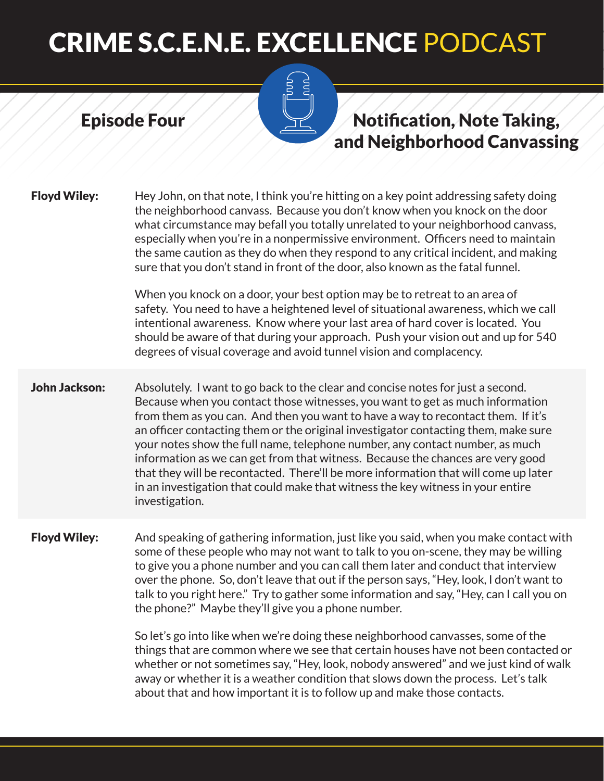Episode Four

# Notification, Note Taking, and Neighborhood Canvassing

| <b>Floyd Wiley:</b>  | Hey John, on that note, I think you're hitting on a key point addressing safety doing<br>the neighborhood canvass. Because you don't know when you knock on the door<br>what circumstance may befall you totally unrelated to your neighborhood canvass,<br>especially when you're in a nonpermissive environment. Officers need to maintain<br>the same caution as they do when they respond to any critical incident, and making<br>sure that you don't stand in front of the door, also known as the fatal funnel.                                                                                                                                                                                    |
|----------------------|----------------------------------------------------------------------------------------------------------------------------------------------------------------------------------------------------------------------------------------------------------------------------------------------------------------------------------------------------------------------------------------------------------------------------------------------------------------------------------------------------------------------------------------------------------------------------------------------------------------------------------------------------------------------------------------------------------|
|                      | When you knock on a door, your best option may be to retreat to an area of<br>safety. You need to have a heightened level of situational awareness, which we call<br>intentional awareness. Know where your last area of hard cover is located. You<br>should be aware of that during your approach. Push your vision out and up for 540<br>degrees of visual coverage and avoid tunnel vision and complacency.                                                                                                                                                                                                                                                                                          |
| <b>John Jackson:</b> | Absolutely. I want to go back to the clear and concise notes for just a second.<br>Because when you contact those witnesses, you want to get as much information<br>from them as you can. And then you want to have a way to recontact them. If it's<br>an officer contacting them or the original investigator contacting them, make sure<br>your notes show the full name, telephone number, any contact number, as much<br>information as we can get from that witness. Because the chances are very good<br>that they will be recontacted. There'll be more information that will come up later<br>in an investigation that could make that witness the key witness in your entire<br>investigation. |
| <b>Floyd Wiley:</b>  | And speaking of gathering information, just like you said, when you make contact with<br>some of these people who may not want to talk to you on-scene, they may be willing<br>to give you a phone number and you can call them later and conduct that interview<br>over the phone. So, don't leave that out if the person says, "Hey, look, I don't want to<br>talk to you right here." Try to gather some information and say, "Hey, can I call you on<br>the phone?" Maybe they'll give you a phone number.                                                                                                                                                                                           |
|                      | So let's go into like when we're doing these neighborhood canvasses, some of the<br>things that are common where we see that certain houses have not been contacted or<br>whether or not sometimes say, "Hey, look, nobody answered" and we just kind of walk<br>away or whether it is a weather condition that slows down the process. Let's talk                                                                                                                                                                                                                                                                                                                                                       |

about that and how important it is to follow up and make those contacts.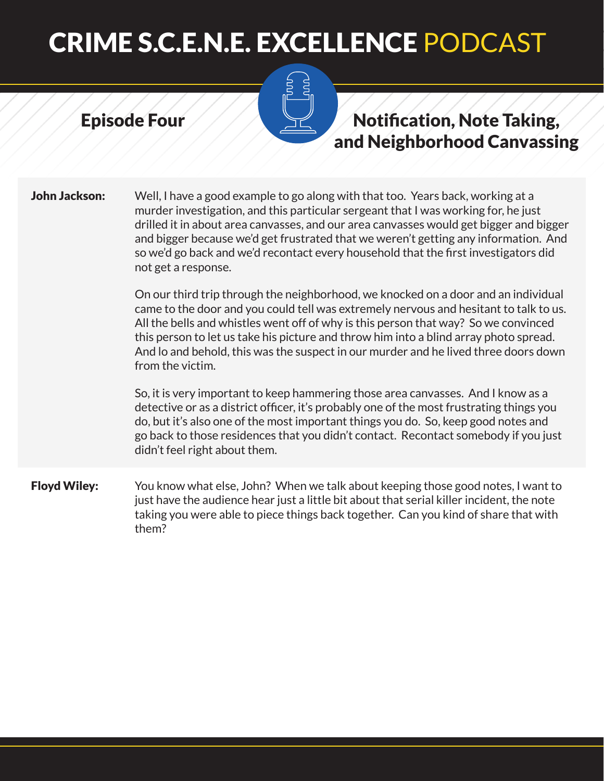#### Episode Four



## Notification, Note Taking, and Neighborhood Canvassing

**John Jackson:** Well, I have a good example to go along with that too. Years back, working at a murder investigation, and this particular sergeant that I was working for, he just drilled it in about area canvasses, and our area canvasses would get bigger and bigger and bigger because we'd get frustrated that we weren't getting any information. And so we'd go back and we'd recontact every household that the first investigators did not get a response.

> On our third trip through the neighborhood, we knocked on a door and an individual came to the door and you could tell was extremely nervous and hesitant to talk to us. All the bells and whistles went off of why is this person that way? So we convinced this person to let us take his picture and throw him into a blind array photo spread. And lo and behold, this was the suspect in our murder and he lived three doors down from the victim.

> So, it is very important to keep hammering those area canvasses. And I know as a detective or as a district officer, it's probably one of the most frustrating things you do, but it's also one of the most important things you do. So, keep good notes and go back to those residences that you didn't contact. Recontact somebody if you just didn't feel right about them.

**Floyd Wiley:** You know what else, John? When we talk about keeping those good notes, I want to just have the audience hear just a little bit about that serial killer incident, the note taking you were able to piece things back together. Can you kind of share that with them?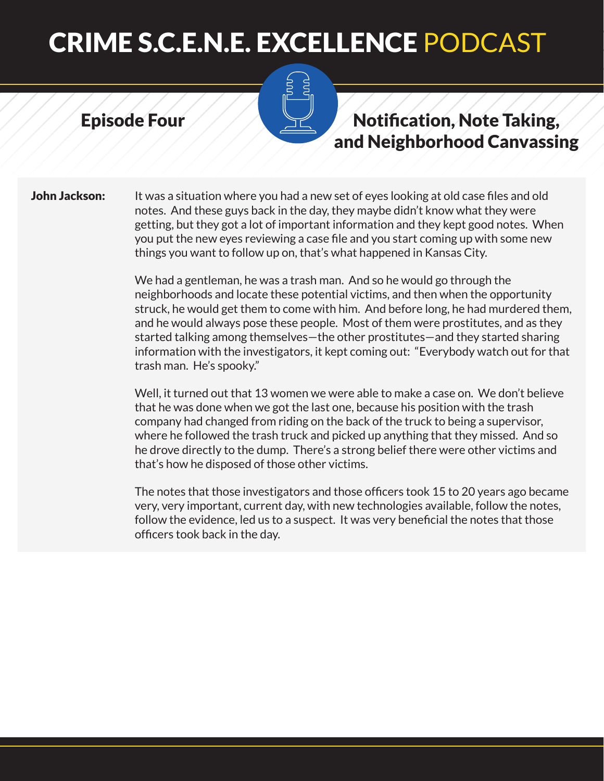#### Episode Four

### Notification, Note Taking, and Neighborhood Canvassing

**John Jackson:** It was a situation where you had a new set of eyes looking at old case files and old notes. And these guys back in the day, they maybe didn't know what they were getting, but they got a lot of important information and they kept good notes. When you put the new eyes reviewing a case file and you start coming up with some new things you want to follow up on, that's what happened in Kansas City.

> We had a gentleman, he was a trash man. And so he would go through the neighborhoods and locate these potential victims, and then when the opportunity struck, he would get them to come with him. And before long, he had murdered them, and he would always pose these people. Most of them were prostitutes, and as they started talking among themselves—the other prostitutes—and they started sharing information with the investigators, it kept coming out: "Everybody watch out for that trash man. He's spooky."

Well, it turned out that 13 women we were able to make a case on. We don't believe that he was done when we got the last one, because his position with the trash company had changed from riding on the back of the truck to being a supervisor, where he followed the trash truck and picked up anything that they missed. And so he drove directly to the dump. There's a strong belief there were other victims and that's how he disposed of those other victims.

The notes that those investigators and those officers took 15 to 20 years ago became very, very important, current day, with new technologies available, follow the notes, follow the evidence, led us to a suspect. It was very beneficial the notes that those officers took back in the day.